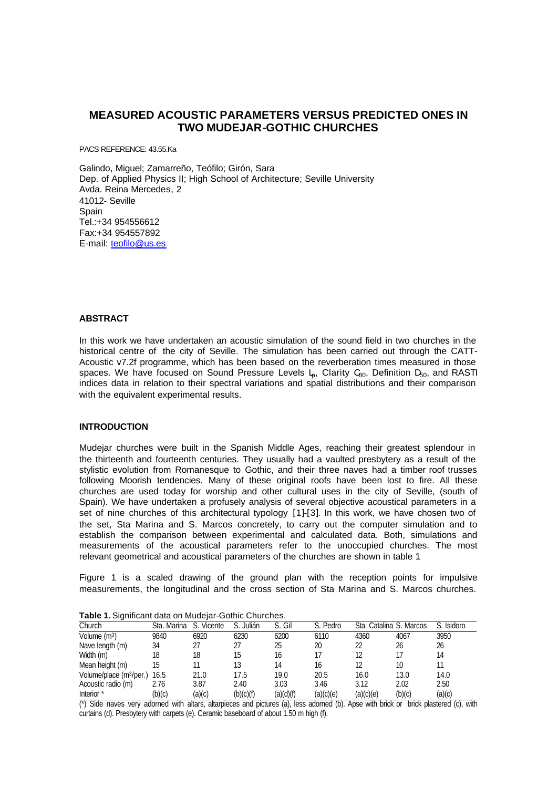# **MEASURED ACOUSTIC PARAMETERS VERSUS PREDICTED ONES IN TWO MUDEJAR-GOTHIC CHURCHES**

PACS REFERENCE: 43.55.Ka

Galindo, Miguel; Zamarreño, Teófilo; Girón, Sara Dep. of Applied Physics II; High School of Architecture; Seville University Avda. Reina Mercedes, 2 41012- Seville **Spain** Tel.:+34 954556612 Fax:+34 954557892 E-mail: teofilo@us.es

# **ABSTRACT**

In this work we have undertaken an acoustic simulation of the sound field in two churches in the historical centre of the city of Seville. The simulation has been carried out through the CATT-Acoustic v7.2f programme, which has been based on the reverberation times measured in those spaces. We have focused on Sound Pressure Levels  $L_p$ , Clarity  $C_{80}$ , Definition  $D_{50}$ , and RASTI indices data in relation to their spectral variations and spatial distributions and their comparison with the equivalent experimental results.

# **INTRODUCTION**

Mudejar churches were built in the Spanish Middle Ages, reaching their greatest splendour in the thirteenth and fourteenth centuries. They usually had a vaulted presbytery as a result of the stylistic evolution from Romanesque to Gothic, and their three naves had a timber roof trusses following Moorish tendencies. Many of these original roofs have been lost to fire. All these churches are used today for worship and other cultural uses in the city of Seville, (south of Spain). We have undertaken a profusely analysis of several objective acoustical parameters in a set of nine churches of this architectural typology [1]-[3]. In this work, we have chosen two of the set, Sta Marina and S. Marcos concretely, to carry out the computer simulation and to establish the comparison between experimental and calculated data. Both, simulations and measurements of the acoustical parameters refer to the unoccupied churches. The most relevant geometrical and acoustical parameters of the churches are shown in table 1

Figure 1 is a scaled drawing of the ground plan with the reception points for impulsive measurements, the longitudinal and the cross section of Sta Marina and S. Marcos churches.

| Church                              | Sta. Marina | S. Vicente | S. Julián | S. Gil    | S. Pedro  | Sta. Catalina S. Marcos |        | S. Isidoro |
|-------------------------------------|-------------|------------|-----------|-----------|-----------|-------------------------|--------|------------|
| Volume $(m3)$                       | 9840        | 6920       | 6230      | 6200      | 6110      | 4360                    | 4067   | 3950       |
| Nave length (m)                     | 34          |            |           | 25        | 20        | 22                      | 26     | 26         |
| Width (m)                           | 18          | 18         | 15        | 16        |           | 12                      | 17     | 14         |
| Mean height (m)                     | 15          |            | 13        | 14        | 16        | 12                      | 10     |            |
| Volume/place (m <sup>3</sup> /per.) | 16.5        | 21.0       | 17.5      | 19.0      | 20.5      | 16.0                    | 13.0   | 14.0       |
| Acoustic radio (m)                  | 2.76        | 3.87       | 2.40      | 3.03      | 3.46      | 3.12                    | 2.02   | 2.50       |
| Interior *                          | (b)(c)      | (a)(c)     | (b)(c)(f) | (a)(d)(f) | (a)(c)(e) | (a)(c)(e)               | (b)(c) | (a)(c)     |

**Table 1.** Significant data on Mudejar-Gothic Churches.

(\*) Side naves very adorned with altars, altarpieces and pictures (a), less adorned (b). Apse with brick or brick plastered (c), with curtains (d). Presbytery with carpets (e). Ceramic baseboard of about 1.50 m high (f).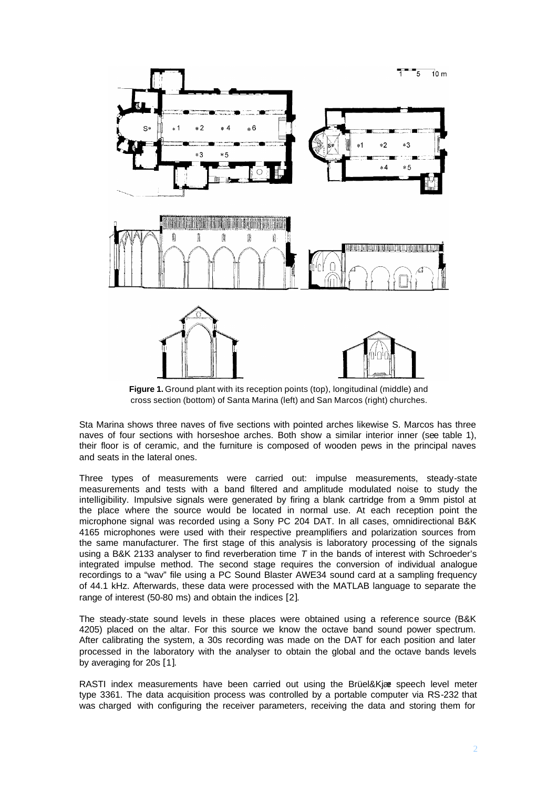

**Figure 1.** Ground plant with its reception points (top), longitudinal (middle) and cross section (bottom) of Santa Marina (left) and San Marcos (right) churches.

Sta Marina shows three naves of five sections with pointed arches likewise S. Marcos has three naves of four sections with horseshoe arches. Both show a similar interior inner (see table 1), their floor is of ceramic, and the furniture is composed of wooden pews in the principal naves and seats in the lateral ones.

Three types of measurements were carried out: impulse measurements, steady-state measurements and tests with a band filtered and amplitude modulated noise to study the intelligibility. Impulsive signals were generated by firing a blank cartridge from a 9mm pistol at the place where the source would be located in normal use. At each reception point the microphone signal was recorded using a Sony PC 204 DAT. In all cases, omnidirectional B&K 4165 microphones were used with their respective preamplifiers and polarization sources from the same manufacturer. The first stage of this analysis is laboratory processing of the signals using a B&K 2133 analyser to find reverberation time *T* in the bands of interest with Schroeder's integrated impulse method. The second stage requires the conversion of individual analogue recordings to a "wav" file using a PC Sound Blaster AWE34 sound card at a sampling frequency of 44.1 kHz. Afterwards, these data were processed with the MATLAB language to separate the range of interest (50-80 ms) and obtain the indices [2].

The steady-state sound levels in these places were obtained using a reference source (B&K 4205) placed on the altar. For this source we know the octave band sound power spectrum. After calibrating the system, a 30s recording was made on the DAT for each position and later processed in the laboratory with the analyser to obtain the global and the octave bands levels by averaging for 20s [1].

RASTI index measurements have been carried out using the Brüel&Kjær speech level meter type 3361. The data acquisition process was controlled by a portable computer via RS-232 that was charged with configuring the receiver parameters, receiving the data and storing them for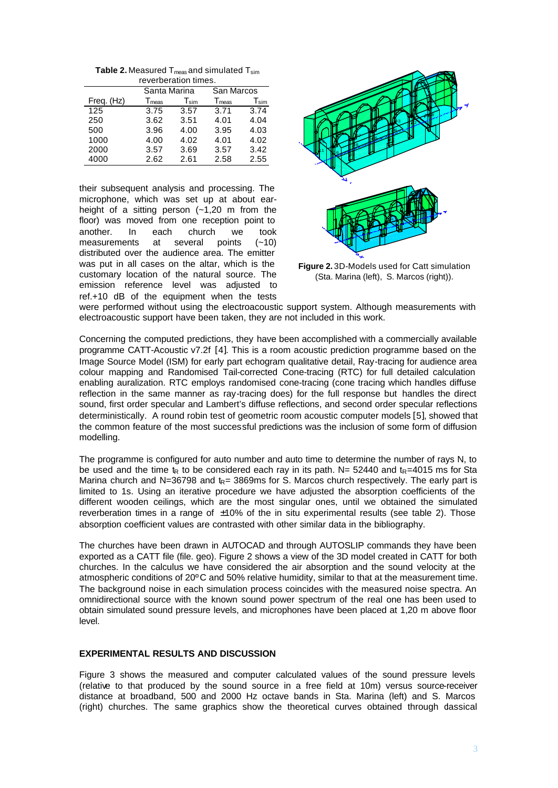**Table 2.** Measured T<sub>meas</sub> and simulated T<sub>sim</sub> reverberation times.

|            | Santa Marina                 |           | San Marcos        |                        |  |  |  |  |  |
|------------|------------------------------|-----------|-------------------|------------------------|--|--|--|--|--|
| Freq. (Hz) | $\mathsf{T}_{\mathsf{meas}}$ | $T_{sim}$ | T <sub>meas</sub> | $\mathsf{T}_{\sf sim}$ |  |  |  |  |  |
| 125        | 3.75                         | 3.57      | 3.71              | 3.74                   |  |  |  |  |  |
| 250        | 3.62                         | 3.51      | 4.01              | 4.04                   |  |  |  |  |  |
| 500        | 3.96                         | 4.00      | 3.95              | 4.03                   |  |  |  |  |  |
| 1000       | 4.00                         | 4.02      | 4.01              | 4.02                   |  |  |  |  |  |
| 2000       | 3.57                         | 3.69      | 3.57              | 3.42                   |  |  |  |  |  |
| 4000       | 2.62                         | 2.61      | 2.58              | 2.55                   |  |  |  |  |  |

their subsequent analysis and processing. The microphone, which was set up at about earheight of a sitting person  $(-1,20, \text{m})$  from the floor) was moved from one reception point to another. In each church we took<br>measurements at several points  $(-10)$ measurements at several points (~10) distributed over the audience area. The emitter was put in all cases on the altar, which is the customary location of the natural source. The emission reference level was adjusted to ref.+10 dB of the equipment when the tests



**Figure 2.** 3D-Models used for Catt simulation (Sta. Marina (left), S. Marcos (right)).

were performed without using the electroacoustic support system. Although measurements with electroacoustic support have been taken, they are not included in this work.

Concerning the computed predictions, they have been accomplished with a commercially available programme CATT-Acoustic v7.2f [4]. This is a room acoustic prediction programme based on the Image Source Model (ISM) for early part echogram qualitative detail, Ray-tracing for audience area colour mapping and Randomised Tail-corrected Cone-tracing (RTC) for full detailed calculation enabling auralization. RTC employs randomised cone-tracing (cone tracing which handles diffuse reflection in the same manner as ray-tracing does) for the full response but handles the direct sound, first order specular and Lambert's diffuse reflections, and second order specular reflections deterministically. A round robin test of geometric room acoustic computer models [5], showed that the common feature of the most successful predictions was the inclusion of some form of diffusion modelling.

The programme is configured for auto number and auto time to determine the number of rays N, to be used and the time  $t<sub>R</sub>$  to be considered each ray in its path. N= 52440 and  $t<sub>R</sub>=4015$  ms for Sta Marina church and N=36798 and  $k = 3869$ ms for S. Marcos church respectively. The early part is limited to 1s. Using an iterative procedure we have adjusted the absorption coefficients of the different wooden ceilings, which are the most singular ones, until we obtained the simulated reverberation times in a range of  $\pm 10\%$  of the in situ experimental results (see table 2). Those absorption coefficient values are contrasted with other similar data in the bibliography.

The churches have been drawn in AUTOCAD and through AUTOSLIP commands they have been exported as a CATT file (file. geo). Figure 2 shows a view of the 3D model created in CATT for both churches. In the calculus we have considered the air absorption and the sound velocity at the atmospheric conditions of 20ºC and 50% relative humidity, similar to that at the measurement time. The background noise in each simulation process coincides with the measured noise spectra. An omnidirectional source with the known sound power spectrum of the real one has been used to obtain simulated sound pressure levels, and microphones have been placed at 1,20 m above floor level.

# **EXPERIMENTAL RESULTS AND DISCUSSION**

Figure 3 shows the measured and computer calculated values of the sound pressure levels (relative to that produced by the sound source in a free field at 10m) versus source-receiver distance at broadband, 500 and 2000 Hz octave bands in Sta. Marina (left) and S. Marcos (right) churches. The same graphics show the theoretical curves obtained through classical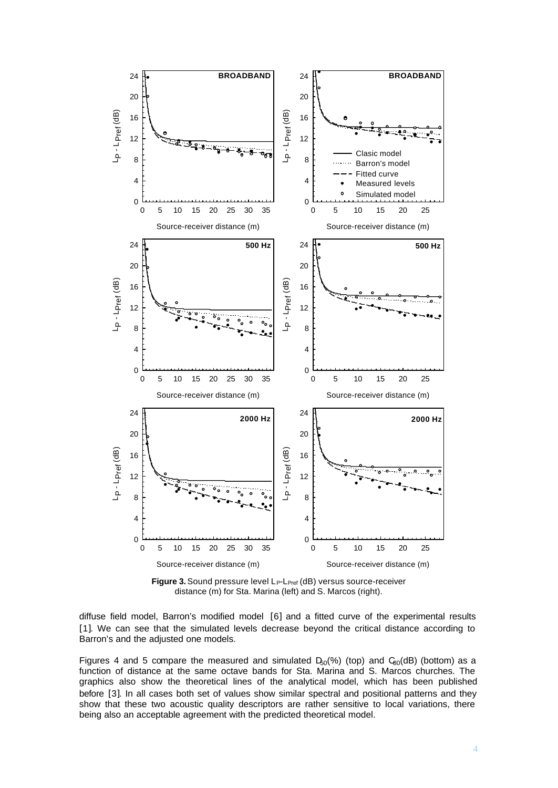

Figure 3. Sound pressure level L<sub>P</sub>-L<sub>Pref</sub> (dB) versus source-receiver distance (m) for Sta. Marina (left) and S. Marcos (right).

diffuse field model, Barron's modified model [6] and a fitted curve of the experimental results [1]. We can see that the simulated levels decrease beyond the critical distance according to Barron's and the adjusted one models.

Figures 4 and 5 compare the measured and simulated  $D_{50}(% )$  (top) and  $C_{80}(dB)$  (bottom) as a function of distance at the same octave bands for Sta. Marina and S. Marcos churches. The graphics also show the theoretical lines of the analytical model, which has been published before [3]. In all cases both set of values show similar spectral and positional patterns and they show that these two acoustic quality descriptors are rather sensitive to local variations, there being also an acceptable agreement with the predicted theoretical model.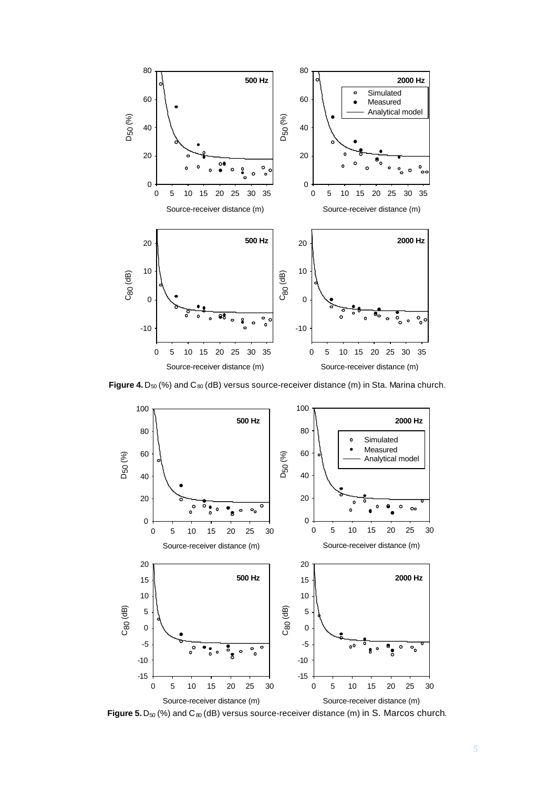

Figure 4. D<sub>50</sub> (%) and C<sub>80</sub> (dB) versus source-receiver distance (m) in Sta. Marina church.



Figure 5. D<sub>50</sub> (%) and C<sub>80</sub> (dB) versus source-receiver distance (m) in S. Marcos church.